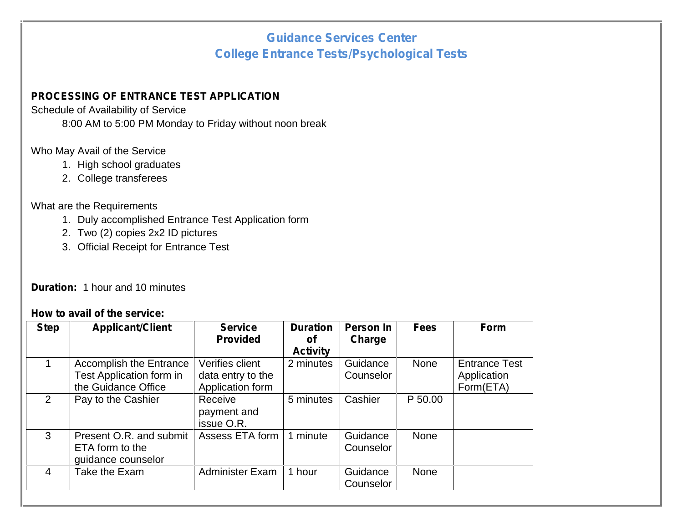# **Guidance Services Center College Entrance Tests/Psychological Tests**

### **PROCESSING OF ENTRANCE TEST APPLICATION**

Schedule of Availability of Service

8:00 AM to 5:00 PM Monday to Friday without noon break

### Who May Avail of the Service

- 1. High school graduates
- 2. College transferees

#### What are the Requirements

- 1. Duly accomplished Entrance Test Application form
- 2. Two (2) copies 2x2 ID pictures
- 3. Official Receipt for Entrance Test

## **Duration:** 1 hour and 10 minutes

#### **How to avail of the service:**

| <b>Step</b>    | <b>Applicant/Client</b>                                                           | <b>Service</b><br><b>Provided</b>                        | <b>Duration</b><br><b>of</b><br><b>Activity</b> | Person In<br><b>Charge</b> | <b>Fees</b> | <b>Form</b>                                      |
|----------------|-----------------------------------------------------------------------------------|----------------------------------------------------------|-------------------------------------------------|----------------------------|-------------|--------------------------------------------------|
| $\mathbf{1}$   | <b>Accomplish the Entrance</b><br>Test Application form in<br>the Guidance Office | Verifies client<br>data entry to the<br>Application form | 2 minutes                                       | Guidance<br>Counselor      | <b>None</b> | <b>Entrance Test</b><br>Application<br>Form(ETA) |
| 2              | Pay to the Cashier                                                                | Receive<br>payment and<br>issue O.R.                     | 5 minutes                                       | Cashier                    | P 50.00     |                                                  |
| 3              | Present O.R. and submit<br>ETA form to the<br>guidance counselor                  | Assess ETA form                                          | 1 minute                                        | Guidance<br>Counselor      | <b>None</b> |                                                  |
| $\overline{4}$ | Take the Exam                                                                     | <b>Administer Exam</b>                                   | 1 hour                                          | Guidance<br>Counselor      | <b>None</b> |                                                  |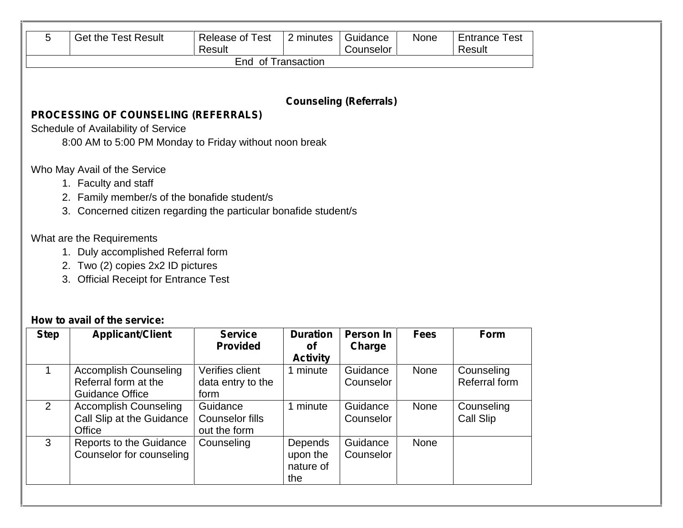|                | <b>Get the Test Result</b>                                       | <b>Release of Test</b><br>Result       | 2 minutes                   | Guidance<br>Counselor         | None        | <b>Entrance Test</b><br>Result |
|----------------|------------------------------------------------------------------|----------------------------------------|-----------------------------|-------------------------------|-------------|--------------------------------|
|                |                                                                  | End of Transaction                     |                             |                               |             |                                |
|                |                                                                  |                                        |                             |                               |             |                                |
|                |                                                                  |                                        |                             | <b>Counseling (Referrals)</b> |             |                                |
|                | <b>PROCESSING OF COUNSELING (REFERRALS)</b>                      |                                        |                             |                               |             |                                |
|                | Schedule of Availability of Service                              |                                        |                             |                               |             |                                |
|                | 8:00 AM to 5:00 PM Monday to Friday without noon break           |                                        |                             |                               |             |                                |
|                | Who May Avail of the Service                                     |                                        |                             |                               |             |                                |
|                | 1. Faculty and staff                                             |                                        |                             |                               |             |                                |
|                | 2. Family member/s of the bonafide student/s                     |                                        |                             |                               |             |                                |
|                | 3. Concerned citizen regarding the particular bonafide student/s |                                        |                             |                               |             |                                |
|                |                                                                  |                                        |                             |                               |             |                                |
|                | What are the Requirements                                        |                                        |                             |                               |             |                                |
|                |                                                                  |                                        |                             |                               |             |                                |
|                | 1. Duly accomplished Referral form                               |                                        |                             |                               |             |                                |
|                | 2. Two (2) copies 2x2 ID pictures                                |                                        |                             |                               |             |                                |
|                | 3. Official Receipt for Entrance Test                            |                                        |                             |                               |             |                                |
|                |                                                                  |                                        |                             |                               |             |                                |
|                |                                                                  |                                        |                             |                               |             |                                |
|                | How to avail of the service:                                     |                                        |                             |                               |             |                                |
| <b>Step</b>    | <b>Applicant/Client</b>                                          | <b>Service</b><br><b>Provided</b>      | <b>Duration</b><br>of       | <b>Person In</b><br>Charge    | <b>Fees</b> | Form                           |
| $\mathbf{1}$   | <b>Accomplish Counseling</b>                                     | Verifies client                        | <b>Activity</b><br>1 minute | Guidance                      | None        | Counseling                     |
|                | Referral form at the                                             | data entry to the                      |                             | Counselor                     |             | Referral form                  |
|                | <b>Guidance Office</b>                                           | form                                   |                             |                               |             |                                |
| $\overline{2}$ | <b>Accomplish Counseling</b>                                     | Guidance                               | 1 minute                    | Guidance                      | None        | Counseling                     |
|                | Call Slip at the Guidance<br>Office                              | <b>Counselor fills</b><br>out the form |                             | Counselor                     |             | <b>Call Slip</b>               |

upon the nature of **Guidance** Counselor

the

Counselor for counseling